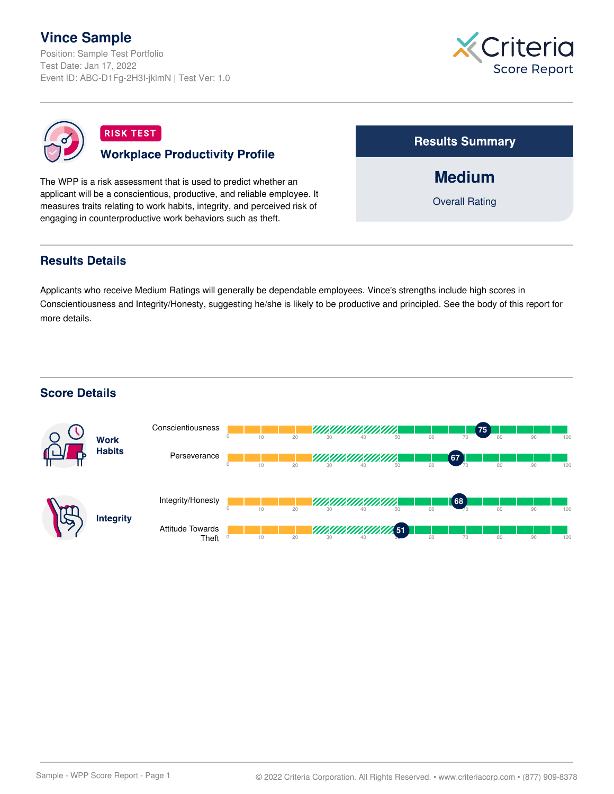# **Vince Sample**

Position: Sample Test Portfolio Test Date: Jan 17, 2022 Event ID: ABC-D1Fg-2H3I-jklmN | Test Ver: 1.0





# **RISK TEST Workplace Productivity Profile**

The WPP is a risk assessment that is used to predict whether an applicant will be a conscientious, productive, and reliable employee. It measures traits relating to work habits, integrity, and perceived risk of engaging in counterproductive work behaviors such as theft.

**Results Summary** 

**Medium**

Overall Rating

## **Results Details**

Applicants who receive Medium Ratings will generally be dependable employees. Vince's strengths include high scores in Conscientiousness and Integrity/Honesty, suggesting he/she is likely to be productive and principled. See the body of this report for more details.

## **Score Details**